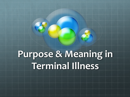# **Purpose & Meaning in Terminal Illness**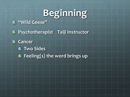# **Beginning**

#### **"Wild Geese"**

**Psychotherapist Taiji Instructor**

**Cancer**

- *<b>Two Sides*
- *Feeling(s)* **the word brings up**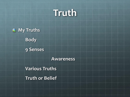



**Body**

**9 Senses**

**Awareness**

**Various Truths**

**Truth or Belief**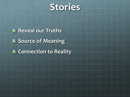

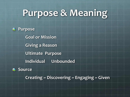## **Purpose & Meaning**

#### **Purpose**  $\bullet$ **Goal or Mission Giving a Reason Ultimate Purpose Individual Unbounded** *Source* **Creating ~ Discovering ~ Engaging ~ Given**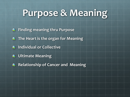## **Purpose & Meaning**

- **Finding meaning thru Purpose**
- **The Heart is the organ for Meaning**
- *<b>a* Individual or Collective
- **Ultimate Meaning**
- **Relationship of Cancer and Meaning**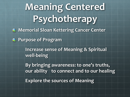# **Meaning Centered Psychotherapy**

**Memorial Sloan Kettering Cancer Center**

**Purpose of Program**

**Increase sense of Meaning & Spiritual well-being**

**By bringing awareness: to one's truths, our ability to connect and to our healing Explore the sources of Meaning**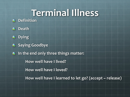## **Terminal Illness**

**<sup>2</sup>** Definition



- **Dying**
- **8** Saying Goodbye
- **In the end only three things matter:**  $\bullet$ **How well have I lived? How well have I loved?**

**How well have I learned to let go? (accept ~ release)**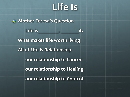## **Life Is**

**Mother Teresa's Question** Life is **the is a controlled to the interiment** it. **What makes life worth living All of Life is Relationship our relationship to Cancer our relationship to Healing our relationship to Control**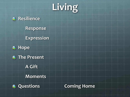# **Living**



**Response**

**Expression**







**A Gift**

**Moments**



**Questions Coming Home**